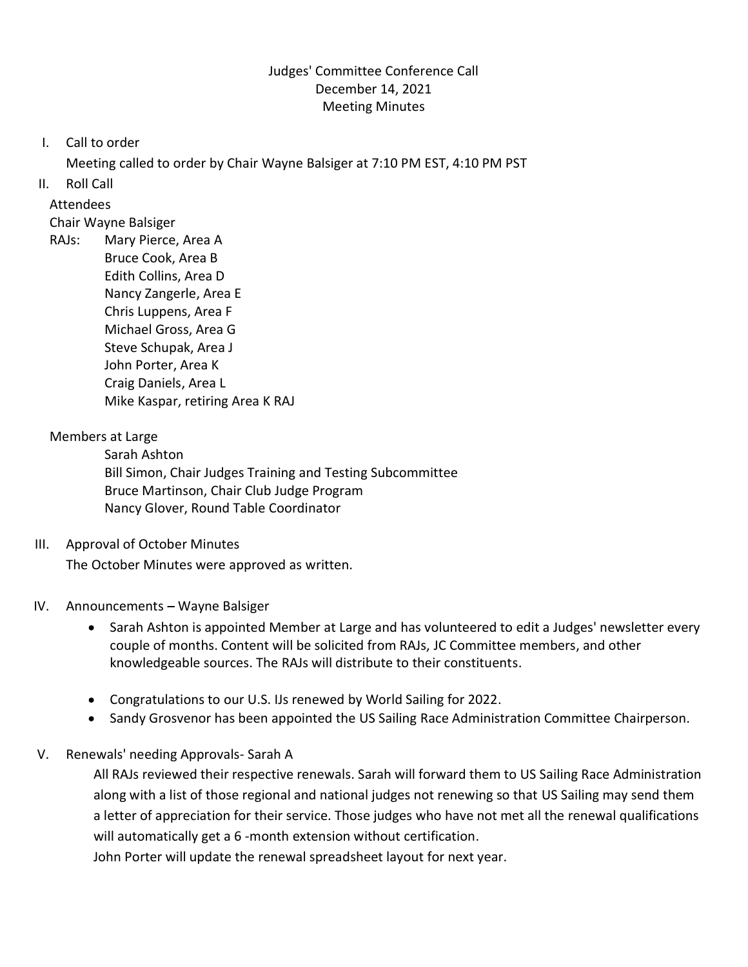# Judges' Committee Conference Call December 14, 2021 Meeting Minutes

I. Call to order

Meeting called to order by Chair Wayne Balsiger at 7:10 PM EST, 4:10 PM PST

II. Roll Call

Attendees

Chair Wayne Balsiger

RAJs: Mary Pierce, Area A Bruce Cook, Area B Edith Collins, Area D Nancy Zangerle, Area E Chris Luppens, Area F Michael Gross, Area G Steve Schupak, Area J John Porter, Area K Craig Daniels, Area L Mike Kaspar, retiring Area K RAJ

# Members at Large

Sarah Ashton Bill Simon, Chair Judges Training and Testing Subcommittee Bruce Martinson, Chair Club Judge Program Nancy Glover, Round Table Coordinator

III. Approval of October Minutes

The October Minutes were approved as written.

# IV. Announcements - Wayne Balsiger

- Sarah Ashton is appointed Member at Large and has volunteered to edit a Judges' newsletter every couple of months. Content will be solicited from RAJs, JC Committee members, and other knowledgeable sources. The RAJs will distribute to their constituents.
- Congratulations to our U.S. IJs renewed by World Sailing for 2022.
- Sandy Grosvenor has been appointed the US Sailing Race Administration Committee Chairperson.

# V. Renewals' needing Approvals- Sarah A

All RAJs reviewed their respective renewals. Sarah will forward them to US Sailing Race Administration along with a list of those regional and national judges not renewing so that US Sailing may send them a letter of appreciation for their service. Those judges who have not met all the renewal qualifications will automatically get a 6 -month extension without certification.

John Porter will update the renewal spreadsheet layout for next year.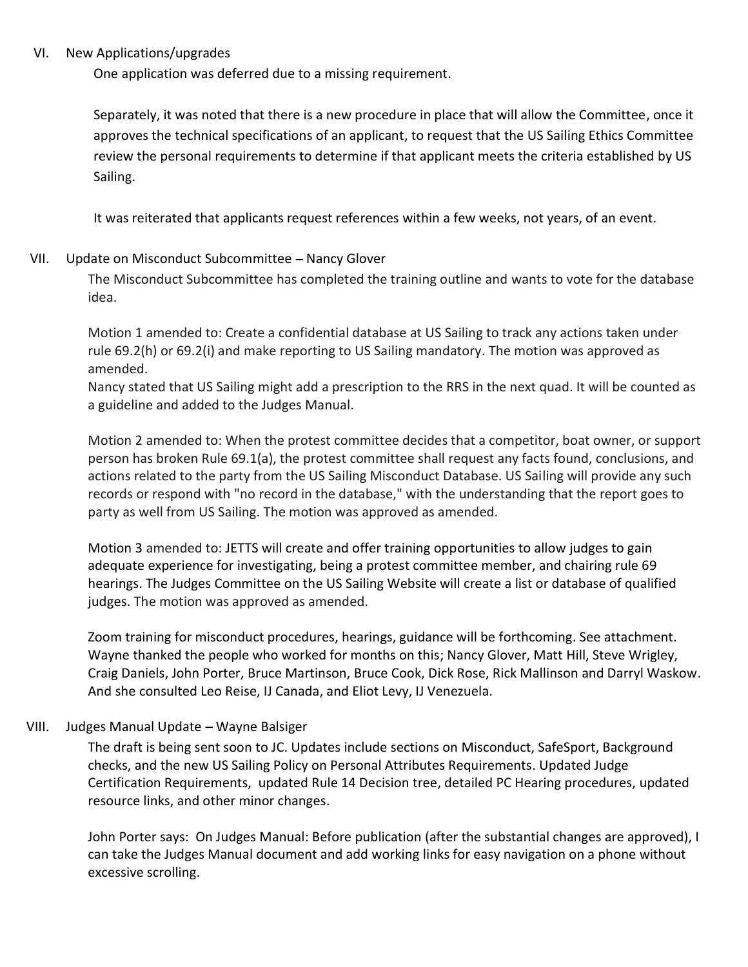#### VI. New Applications/upgrades

One application was deferred due to a missing requirement.

Separately, it was noted that there is a new procedure in place that will allow the Committee, once it approves the technical specifications of an applicant, to request that the US Sailing Ethics Committee review the personal requirements to determine if that applicant meets the criteria established by US Sailing.

It was reiterated that applicants request references within a few weeks, not years, of an event.

#### VII. Update on Misconduct Subcommittee - Nancy Glover

The Misconduct Subcommittee has completed the training outline and wants to vote for the database idea.

Motion 1 amended to: Create a confidential database at US Sailing to track any actions taken under rule 69.2(h) or 69.2(i) and make reporting to US Sailing mandatory. The motion was approved as amended.

Nancy stated that US Sailing might add a prescription to the RRS in the next quad. It will be counted as a guideline and added to the Judges Manual.

Motion 2 amended to: When the protest committee decides that a competitor, boat owner, or support person has broken Rule 69.1(a), the protest committee shall request any facts found, conclusions, and actions related to the party from the US Sailing Misconduct Database. US Sailing will provide any such records or respond with "no record in the database," with the understanding that the report goes to party as well from US Sailing. The motion was approved as amended.

Motion 3 amended to: JETTS will create and offer training opportunities to allow judges to gain adequate experience for investigating, being a protest committee member, and chairing rule 69 hearings. The Judges Committee on the US Sailing Website will create a list or database of qualified judges. The motion was approved as amended.

Zoom training for misconduct procedures, hearings, guidance will be forthcoming. See attachment. Wayne thanked the people who worked for months on this; Nancy Glover, Matt Hill, Steve Wrigley, Craig Daniels, John Porter, Bruce Martinson, Bruce Cook, Dick Rose, Rick Mallinson and Darryl Waskow. And she consulted Leo Reise, IJ Canada, and Eliot Levy, IJ Venezuela.

# VIII. Judges Manual Update - Wayne Balsiger

The draft is being sent soon to JC. Updates include sections on Misconduct, SafeSport, Background checks, and the new US Sailing Policy on Personal Attributes Requirements. Updated Judge Certification Requirements, updated Rule 14 Decision tree, detailed PC Hearing procedures, updated resource links, and other minor changes.

John Porter says: On Judges Manual: Before publication (after the substantial changes are approved), I can take the Judges Manual document and add working links for easy navigation on a phone without excessive scrolling.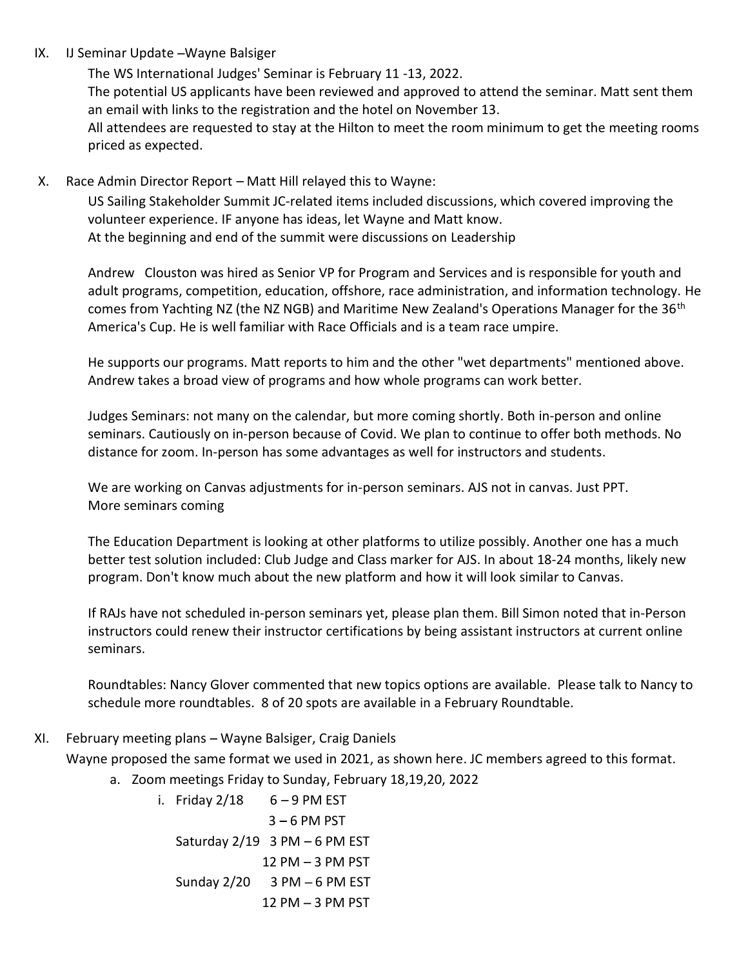#### IX. IJ Seminar Update - Wayne Balsiger

The WS International Judges' Seminar is February 11 -13, 2022. The potential US applicants have been reviewed and approved to attend the seminar. Matt sent them an email with links to the registration and the hotel on November 13. All attendees are requested to stay at the Hilton to meet the room minimum to get the meeting rooms priced as expected.

#### X. Race Admin Director Report - Matt Hill relayed this to Wayne:

US Sailing Stakeholder Summit JC-related items included discussions, which covered improving the volunteer experience. IF anyone has ideas, let Wayne and Matt know. At the beginning and end of the summit were discussions on Leadership

Andrew Clouston was hired as Senior VP for Program and Services and is responsible for youth and adult programs, competition, education, offshore, race administration, and information technology. He comes from Yachting NZ (the NZ NGB) and Maritime New Zealand's Operations Manager for the 36<sup>th</sup> America's Cup. He is well familiar with Race Officials and is a team race umpire.

He supports our programs. Matt reports to him and the other "wet departments" mentioned above. Andrew takes a broad view of programs and how whole programs can work better.

Judges Seminars: not many on the calendar, but more coming shortly. Both in-person and online seminars. Cautiously on in-person because of Covid. We plan to continue to offer both methods. No distance for zoom. In-person has some advantages as well for instructors and students.

We are working on Canvas adjustments for in-person seminars. AJS not in canvas. Just PPT. More seminars coming

The Education Department is looking at other platforms to utilize possibly. Another one has a much better test solution included: Club Judge and Class marker for AJS. In about 18-24 months, likely new program. Don't know much about the new platform and how it will look similar to Canvas.

If RAJs have not scheduled in-person seminars yet, please plan them. Bill Simon noted that in-Person instructors could renew their instructor certifications by being assistant instructors at current online seminars.

Roundtables: Nancy Glover commented that new topics options are available. Please talk to Nancy to schedule more roundtables. 8 of 20 spots are available in a February Roundtable.

# XI. February meeting plans - Wayne Balsiger, Craig Daniels

Wayne proposed the same format we used in 2021, as shown here. JC members agreed to this format.

a. Zoom meetings Friday to Sunday, February 18,19,20, 2022

i. Friday  $2/18$  6 – 9 PM EST  $3 - 6$  PM PST Saturday  $2/19$  3 PM  $-6$  PM EST  $12$  PM  $-3$  PM PST Sunday  $2/20$  3 PM  $-6$  PM EST  $12$  PM  $-3$  PM PST